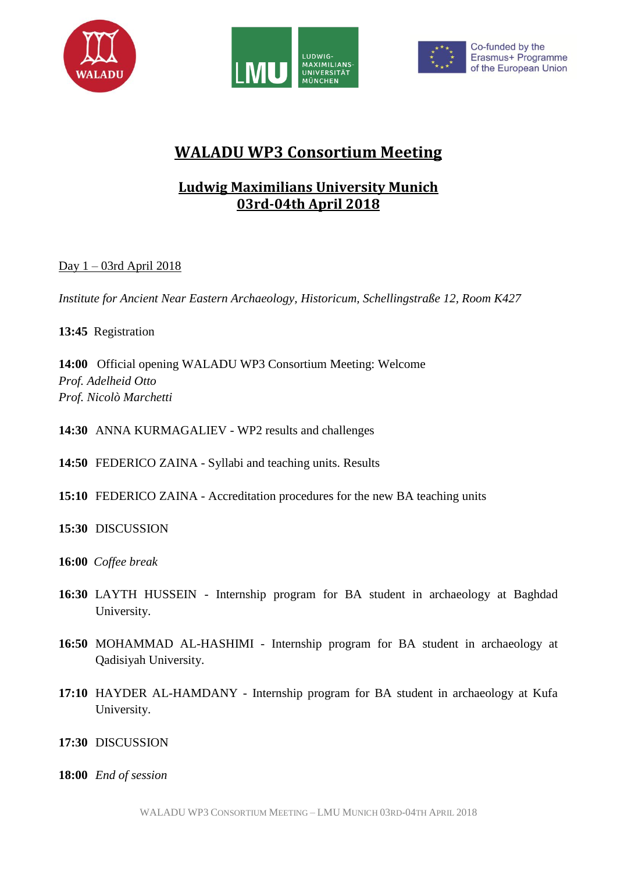





## **WALADU WP3 Consortium Meeting**

## **Ludwig Maximilians University Munich 03rd-04th April 2018**

Day 1 – 03rd April 2018

*Institute for Ancient Near Eastern Archaeology, Historicum, Schellingstraße 12, Room K427*

**13:45** Registration

**14:00** Official opening WALADU WP3 Consortium Meeting: Welcome *Prof. Adelheid Otto Prof. Nicolò Marchetti*

**14:30** ANNA KURMAGALIEV - WP2 results and challenges

**14:50** FEDERICO ZAINA - Syllabi and teaching units. Results

- **15:10** FEDERICO ZAINA Accreditation procedures for the new BA teaching units
- **15:30** DISCUSSION
- **16:00** *Coffee break*
- **16:30** LAYTH HUSSEIN Internship program for BA student in archaeology at Baghdad University.
- **16:50** MOHAMMAD AL-HASHIMI Internship program for BA student in archaeology at Qadisiyah University.
- **17:10** HAYDER AL-HAMDANY Internship program for BA student in archaeology at Kufa University.
- **17:30** DISCUSSION
- **18:00** *End of session*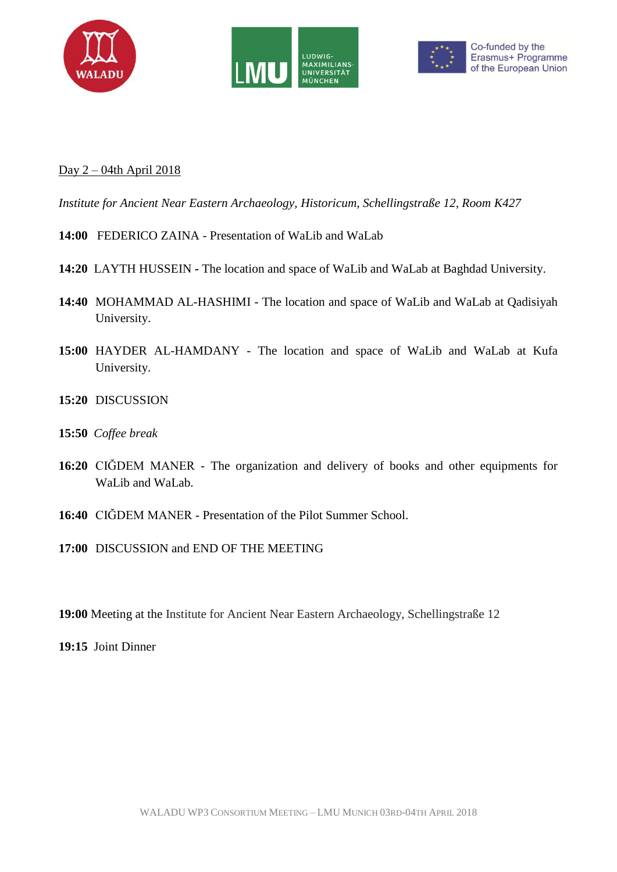





## Day 2 – 04th April 2018

*Institute for Ancient Near Eastern Archaeology, Historicum, Schellingstraße 12, Room K427*

- **14:00** FEDERICO ZAINA Presentation of WaLib and WaLab
- **14:20** LAYTH HUSSEIN **-** The location and space of WaLib and WaLab at Baghdad University.
- **14:40** MOHAMMAD AL-HASHIMI The location and space of WaLib and WaLab at Qadisiyah University.
- **15:00** HAYDER AL-HAMDANY The location and space of WaLib and WaLab at Kufa University.
- **15:20** DISCUSSION
- **15:50** *Coffee break*
- **16:20** CIĞDEM MANER The organization and delivery of books and other equipments for WaLib and WaLab.
- **16:40** CIĞDEM MANER Presentation of the Pilot Summer School.
- **17:00** DISCUSSION and END OF THE MEETING
- **19:00** Meeting at the Institute for Ancient Near Eastern Archaeology, Schellingstraße 12

**19:15** Joint Dinner